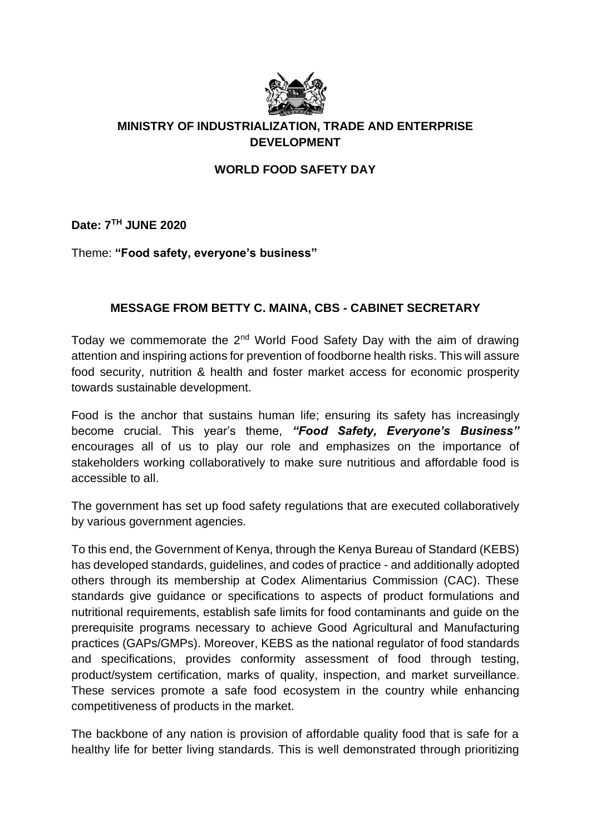

## **MINISTRY OF INDUSTRIALIZATION, TRADE AND ENTERPRISE DEVELOPMENT**

## **WORLD FOOD SAFETY DAY**

**Date: 7TH JUNE 2020**

Theme: **"Food safety, everyone's business"**

## **MESSAGE FROM BETTY C. MAINA, CBS - CABINET SECRETARY**

Today we commemorate the  $2^{nd}$  World Food Safety Day with the aim of drawing attention and inspiring actions for prevention of foodborne health risks. This will assure food security, nutrition & health and foster market access for economic prosperity towards sustainable development.

Food is the anchor that sustains human life; ensuring its safety has increasingly become crucial. This year's theme, *"Food Safety, Everyone's Business"* encourages all of us to play our role and emphasizes on the importance of stakeholders working collaboratively to make sure nutritious and affordable food is accessible to all.

The government has set up food safety regulations that are executed collaboratively by various government agencies.

To this end, the Government of Kenya, through the Kenya Bureau of Standard (KEBS) has developed standards, guidelines, and codes of practice - and additionally adopted others through its membership at Codex Alimentarius Commission (CAC). These standards give guidance or specifications to aspects of product formulations and nutritional requirements, establish safe limits for food contaminants and guide on the prerequisite programs necessary to achieve Good Agricultural and Manufacturing practices (GAPs/GMPs). Moreover, KEBS as the national regulator of food standards and specifications, provides conformity assessment of food through testing, product/system certification, marks of quality, inspection, and market surveillance. These services promote a safe food ecosystem in the country while enhancing competitiveness of products in the market.

The backbone of any nation is provision of affordable quality food that is safe for a healthy life for better living standards. This is well demonstrated through prioritizing